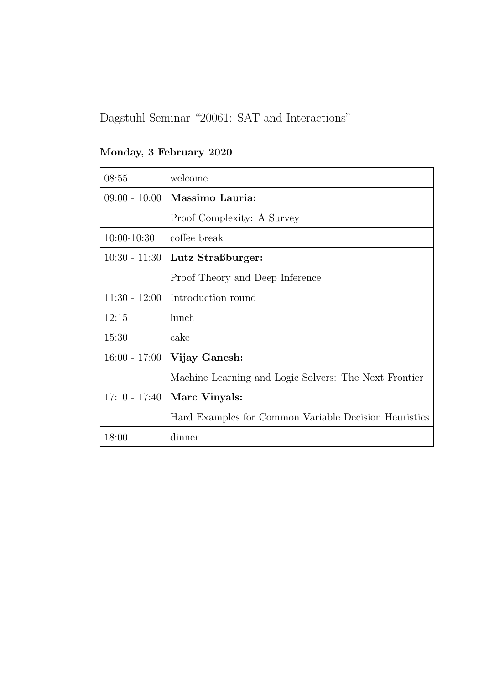Monday, 3 February 2020

| 08:55           | welcome                                               |
|-----------------|-------------------------------------------------------|
| $09:00 - 10:00$ | Massimo Lauria:                                       |
|                 | Proof Complexity: A Survey                            |
| $10:00 - 10:30$ | coffee break                                          |
| $10:30 - 11:30$ | Lutz Straßburger:                                     |
|                 | Proof Theory and Deep Inference                       |
| $11:30 - 12:00$ | Introduction round                                    |
| 12:15           | lunch                                                 |
| 15:30           | cake                                                  |
| $16:00 - 17:00$ | Vijay Ganesh:                                         |
|                 | Machine Learning and Logic Solvers: The Next Frontier |
| $17:10 - 17:40$ | Marc Vinyals:                                         |
|                 | Hard Examples for Common Variable Decision Heuristics |
| 18:00           | dinner                                                |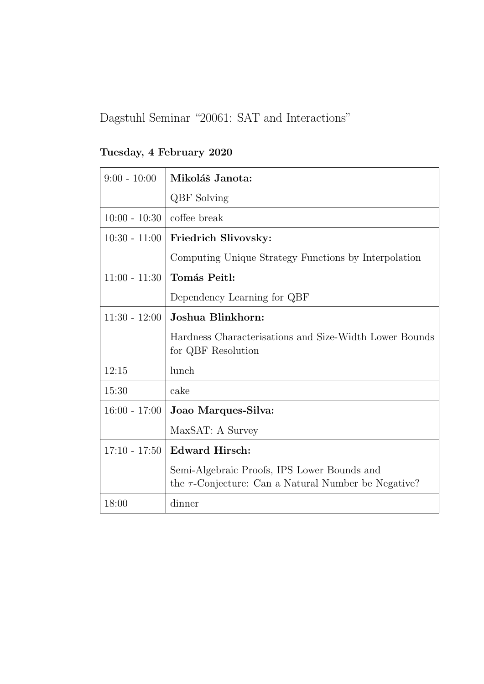Tuesday, 4 February 2020

| $9:00 - 10:00$  | Mikoláš Janota:                                                                                          |
|-----------------|----------------------------------------------------------------------------------------------------------|
|                 | <b>QBF</b> Solving                                                                                       |
| $10:00 - 10:30$ | coffee break                                                                                             |
| $10:30 - 11:00$ | Friedrich Slivovsky:                                                                                     |
|                 | Computing Unique Strategy Functions by Interpolation                                                     |
| $11:00 - 11:30$ | Tomás Peitl:                                                                                             |
|                 | Dependency Learning for QBF                                                                              |
| $11:30 - 12:00$ | Joshua Blinkhorn:                                                                                        |
|                 | Hardness Characterisations and Size-Width Lower Bounds<br>for QBF Resolution                             |
| 12:15           | lunch                                                                                                    |
| 15:30           | cake                                                                                                     |
| $16:00 - 17:00$ | Joao Marques-Silva:                                                                                      |
|                 | MaxSAT: A Survey                                                                                         |
| $17:10 - 17:50$ | <b>Edward Hirsch:</b>                                                                                    |
|                 | Semi-Algebraic Proofs, IPS Lower Bounds and<br>the $\tau$ -Conjecture: Can a Natural Number be Negative? |
| 18:00           | dinner                                                                                                   |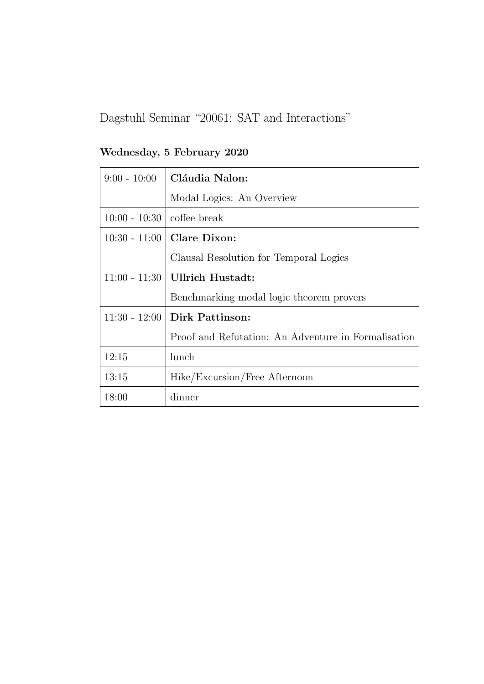Wednesday, 5 February 2020

| $9:00 - 10:00$  | Cláudia Nalon:                                      |
|-----------------|-----------------------------------------------------|
|                 | Modal Logics: An Overview                           |
| $10:00 - 10:30$ | coffee break                                        |
| $10:30 - 11:00$ | Clare Dixon:                                        |
|                 | Clausal Resolution for Temporal Logics              |
| $11:00 - 11:30$ | Ullrich Hustadt:                                    |
|                 | Benchmarking modal logic theorem provers            |
| $11:30 - 12:00$ | Dirk Pattinson:                                     |
|                 | Proof and Refutation: An Adventure in Formalisation |
| 12:15           | lunch                                               |
| 13:15           | Hike/Excursion/Free Afternoon                       |
| 18:00           | dinner                                              |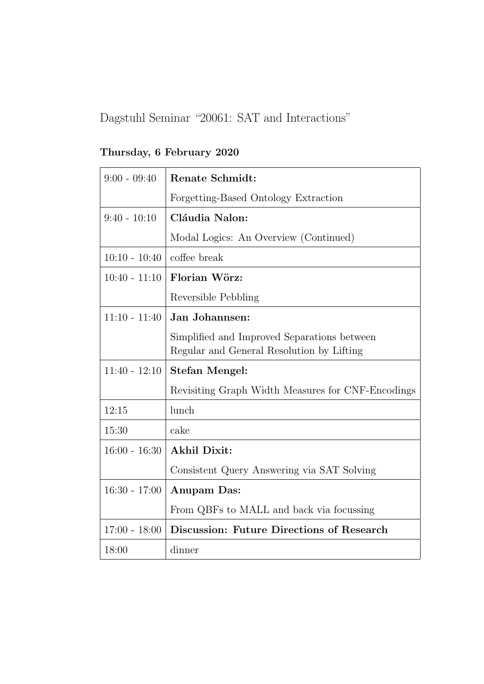Thursday, 6 February 2020

| $9:00 - 09:40$  | <b>Renate Schmidt:</b>                                                                   |
|-----------------|------------------------------------------------------------------------------------------|
|                 | Forgetting-Based Ontology Extraction                                                     |
| $9:40 - 10:10$  | Cláudia Nalon:                                                                           |
|                 | Modal Logics: An Overview (Continued)                                                    |
| $10:10 - 10:40$ | coffee break                                                                             |
| $10:40 - 11:10$ | Florian Wörz:                                                                            |
|                 | Reversible Pebbling                                                                      |
| $11:10 - 11:40$ | Jan Johannsen:                                                                           |
|                 | Simplified and Improved Separations between<br>Regular and General Resolution by Lifting |
| $11:40 - 12:10$ | Stefan Mengel:                                                                           |
|                 | Revisiting Graph Width Measures for CNF-Encodings                                        |
| 12:15           | lunch                                                                                    |
| 15:30           | cake                                                                                     |
| $16:00 - 16:30$ | <b>Akhil Dixit:</b>                                                                      |
|                 | Consistent Query Answering via SAT Solving                                               |
| $16:30 - 17:00$ | Anupam Das:                                                                              |
|                 | From QBFs to MALL and back via focussing                                                 |
| $17:00 - 18:00$ | Discussion: Future Directions of Research                                                |
| 18:00           | dinner                                                                                   |